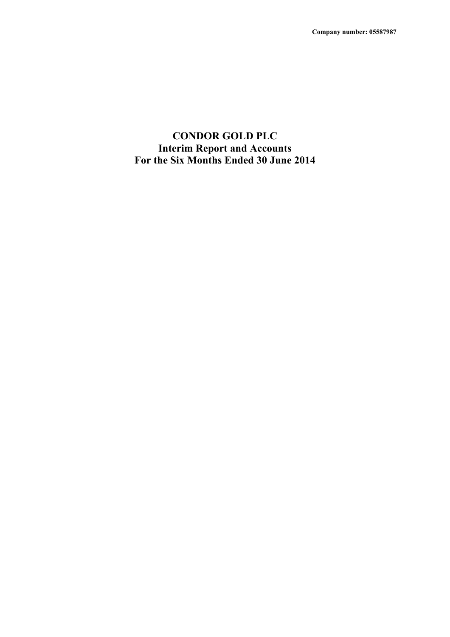## **CONDOR GOLD PLC Interim Report and Accounts For the Six Months Ended 30 June 2014**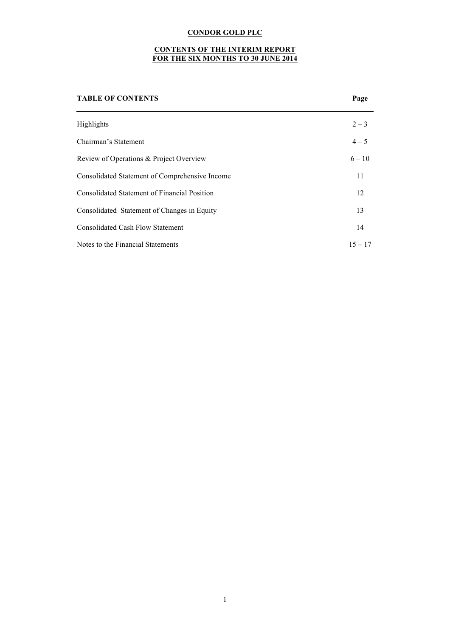## **CONTENTS OF THE INTERIM REPORT FOR THE SIX MONTHS TO 30 JUNE 2014**

# **TABLE OF CONTENTS Page** Highlights  $2-3$ Chairman's Statement 4 – 5 Review of Operations & Project Overview  $6 - 10$ Consolidated Statement of Comprehensive Income 11 Consolidated Statement of Financial Position 12 Consolidated Statement of Changes in Equity 13 Consolidated Cash Flow Statement 14 Notes to the Financial Statements  $15 - 17$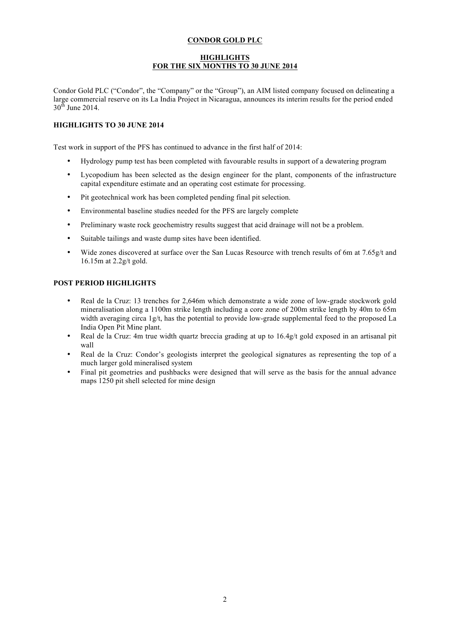## **HIGHLIGHTS FOR THE SIX MONTHS TO 30 JUNE 2014**

Condor Gold PLC ("Condor", the "Company" or the "Group"), an AIM listed company focused on delineating a large commercial reserve on its La India Project in Nicaragua, announces its interim results for the period ended  $30<sup>th</sup>$  June 2014.

## **HIGHLIGHTS TO 30 JUNE 2014**

Test work in support of the PFS has continued to advance in the first half of 2014:

- Hydrology pump test has been completed with favourable results in support of a dewatering program
- Lycopodium has been selected as the design engineer for the plant, components of the infrastructure capital expenditure estimate and an operating cost estimate for processing.
- Pit geotechnical work has been completed pending final pit selection.
- Environmental baseline studies needed for the PFS are largely complete
- Preliminary waste rock geochemistry results suggest that acid drainage will not be a problem.
- Suitable tailings and waste dump sites have been identified.
- Wide zones discovered at surface over the San Lucas Resource with trench results of 6m at 7.65g/t and 16.15m at 2.2g/t gold.

## **POST PERIOD HIGHLIGHTS**

- Real de la Cruz: 13 trenches for 2,646m which demonstrate a wide zone of low-grade stockwork gold mineralisation along a 1100m strike length including a core zone of 200m strike length by 40m to 65m width averaging circa  $1g/t$ , has the potential to provide low-grade supplemental feed to the proposed La India Open Pit Mine plant.
- Real de la Cruz: 4m true width quartz breccia grading at up to 16.4g/t gold exposed in an artisanal pit wall
- Real de la Cruz: Condor's geologists interpret the geological signatures as representing the top of a much larger gold mineralised system
- Final pit geometries and pushbacks were designed that will serve as the basis for the annual advance maps 1250 pit shell selected for mine design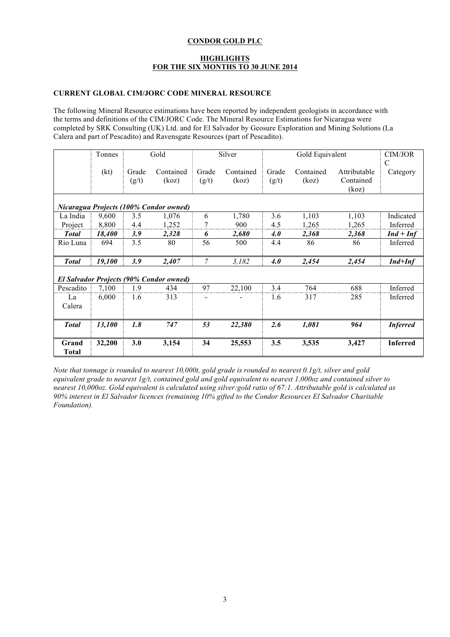## **HIGHLIGHTS FOR THE SIX MONTHS TO 30 JUNE 2014**

## **CURRENT GLOBAL CIM/JORC CODE MINERAL RESOURCE**

The following Mineral Resource estimations have been reported by independent geologists in accordance with the terms and definitions of the CIM/JORC Code. The Mineral Resource Estimations for Nicaragua were completed by SRK Consulting (UK) Ltd. and for El Salvador by Geosure Exploration and Mining Solutions (La Calera and part of Pescadito) and Ravensgate Resources (part of Pescadito).

|                       | Tonnes                                         | Gold           |                    |                | Silver             |                | Gold Equivalent    |                                    | CIM/JOR         |
|-----------------------|------------------------------------------------|----------------|--------------------|----------------|--------------------|----------------|--------------------|------------------------------------|-----------------|
|                       | (kt)                                           | Grade<br>(g/t) | Contained<br>(koz) | Grade<br>(g/t) | Contained<br>(koz) | Grade<br>(g/t) | Contained<br>(koz) | Attributable<br>Contained<br>(koz) | C<br>Category   |
|                       | Nicaragua Projects (100% Condor owned)         |                |                    |                |                    |                |                    |                                    |                 |
| La India              | 9,600                                          | 3.5            | 1,076              | 6              | 1,780              | 3.6            | 1,103              | 1,103                              | Indicated       |
| Project               | 8,800                                          | 4.4            | 1,252              | 7              | 900                | 4.5            | 1,265              | 1,265                              | Inferred        |
| <b>Total</b>          | 18,400                                         | 3.9            | 2,328              | 6              | 2,680              | 4.O            | 2,368              | 2,368                              | $Ind+Inf$       |
| Rio Luna              | 694                                            | 3.5            | 80                 | 56             | 500                | 4.4            | 86                 | 86                                 | Inferred        |
| <b>Total</b>          | 19,100                                         | 3.9            | 2,407              | 7              | 3,182              | 4.0            | 2,454              | 2,454                              | $Ind+Inf$       |
|                       | <b>El Salvador Projects (90% Condor owned)</b> |                |                    |                |                    |                |                    |                                    |                 |
| Pescadito             | 7,100                                          | 1.9            | 434                | 97             | 22,100             | 3.4            | 764                | 688                                | Inferred        |
| La<br>Calera          | 6,000                                          | 1.6            | 313                |                |                    | 1.6            | 317                | 285                                | Inferred        |
| <b>Total</b>          | 13,100                                         | 1.8            | 747                | 53             | 22,380             | 2.6            | 1,081              | 964                                | <b>Inferred</b> |
| Grand<br><b>Total</b> | 32,200                                         | 3.0            | 3,154              | 34             | 25,553             | 3.5            | 3,535              | 3,427                              | <b>Inferred</b> |

*Note that tonnage is rounded to nearest 10,000t, gold grade is rounded to nearest 0.1g/t, silver and gold equivalent grade to nearest 1g/t, contained gold and gold equivalent to nearest 1,000oz and contained silver to nearest 10,000oz. Gold equivalent is calculated using silver:gold ratio of 67:1. Attributable gold is calculated as 90% interest in El Salvador licences (remaining 10% gifted to the Condor Resources El Salvador Charitable Foundation).*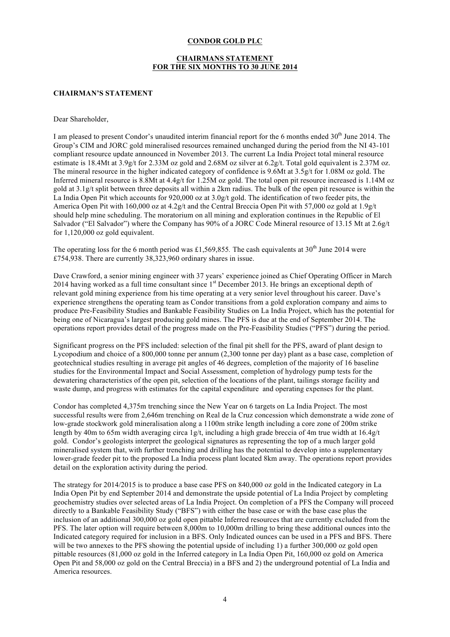## **CHAIRMANS STATEMENT FOR THE SIX MONTHS TO 30 JUNE 2014**

#### **CHAIRMAN'S STATEMENT**

Dear Shareholder,

I am pleased to present Condor's unaudited interim financial report for the 6 months ended 30<sup>th</sup> June 2014. The Group's CIM and JORC gold mineralised resources remained unchanged during the period from the NI 43-101 compliant resource update announced in November 2013. The current La India Project total mineral resource estimate is 18.4Mt at 3.9g/t for 2.33M oz gold and 2.68M oz silver at 6.2g/t. Total gold equivalent is 2.37M oz. The mineral resource in the higher indicated category of confidence is 9.6Mt at 3.5g/t for 1.08M oz gold. The Inferred mineral resource is 8.8Mt at 4.4g/t for 1.25M oz gold. The total open pit resource increased is 1.14M oz gold at 3.1g/t split between three deposits all within a 2km radius. The bulk of the open pit resource is within the La India Open Pit which accounts for 920,000 oz at 3.0g/t gold. The identification of two feeder pits, the America Open Pit with 160,000 oz at 4.2g/t and the Central Breccia Open Pit with 57,000 oz gold at 1.9g/t should help mine scheduling. The moratorium on all mining and exploration continues in the Republic of El Salvador ("El Salvador") where the Company has 90% of a JORC Code Mineral resource of 13.15 Mt at 2.6g/t for 1,120,000 oz gold equivalent.

The operating loss for the 6 month period was £1,569,855. The cash equivalents at  $30<sup>th</sup>$  June 2014 were £754,938. There are currently 38,323,960 ordinary shares in issue.

Dave Crawford, a senior mining engineer with 37 years' experience joined as Chief Operating Officer in March 2014 having worked as a full time consultant since  $1<sup>st</sup>$  December 2013. He brings an exceptional depth of relevant gold mining experience from his time operating at a very senior level throughout his career. Dave's experience strengthens the operating team as Condor transitions from a gold exploration company and aims to produce Pre-Feasibility Studies and Bankable Feasibility Studies on La India Project, which has the potential for being one of Nicaragua's largest producing gold mines. The PFS is due at the end of September 2014. The operations report provides detail of the progress made on the Pre-Feasibility Studies ("PFS") during the period.

Significant progress on the PFS included: selection of the final pit shell for the PFS, award of plant design to Lycopodium and choice of a 800,000 tonne per annum (2,300 tonne per day) plant as a base case, completion of geotechnical studies resulting in average pit angles of 46 degrees, completion of the majority of 16 baseline studies for the Environmental Impact and Social Assessment, completion of hydrology pump tests for the dewatering characteristics of the open pit, selection of the locations of the plant, tailings storage facility and waste dump, and progress with estimates for the capital expenditure and operating expenses for the plant.

Condor has completed 4,375m trenching since the New Year on 6 targets on La India Project. The most successful results were from 2,646m trenching on Real de la Cruz concession which demonstrate a wide zone of low-grade stockwork gold mineralisation along a 1100m strike length including a core zone of 200m strike length by 40m to 65m width averaging circa 1g/t, including a high grade breccia of 4m true width at 16.4g/t gold. Condor's geologists interpret the geological signatures as representing the top of a much larger gold mineralised system that, with further trenching and drilling has the potential to develop into a supplementary lower-grade feeder pit to the proposed La India process plant located 8km away. The operations report provides detail on the exploration activity during the period.

The strategy for 2014/2015 is to produce a base case PFS on 840,000 oz gold in the Indicated category in La India Open Pit by end September 2014 and demonstrate the upside potential of La India Project by completing geochemistry studies over selected areas of La India Project. On completion of a PFS the Company will proceed directly to a Bankable Feasibility Study ("BFS") with either the base case or with the base case plus the inclusion of an additional 300,000 oz gold open pittable Inferred resources that are currently excluded from the PFS. The later option will require between 8,000m to 10,000m drilling to bring these additional ounces into the Indicated category required for inclusion in a BFS. Only Indicated ounces can be used in a PFS and BFS. There will be two annexes to the PFS showing the potential upside of including 1) a further 300,000 oz gold open pittable resources (81,000 oz gold in the Inferred category in La India Open Pit, 160,000 oz gold on America Open Pit and 58,000 oz gold on the Central Breccia) in a BFS and 2) the underground potential of La India and America resources.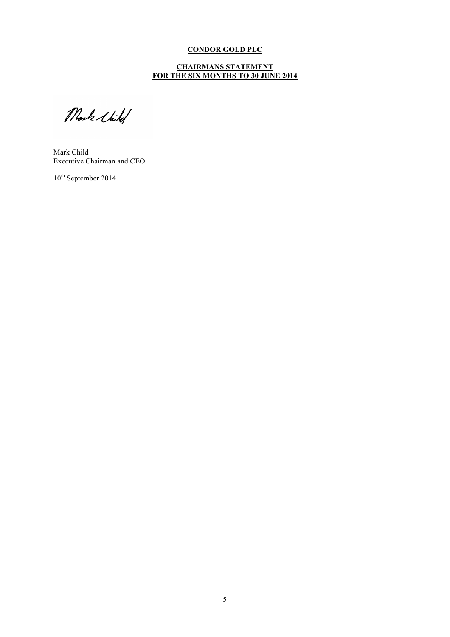#### **CHAIRMANS STATEMENT FOR THE SIX MONTHS TO 30 JUNE 2014**

Mosks Wild

Mark Child Executive Chairman and CEO

10<sup>th</sup> September 2014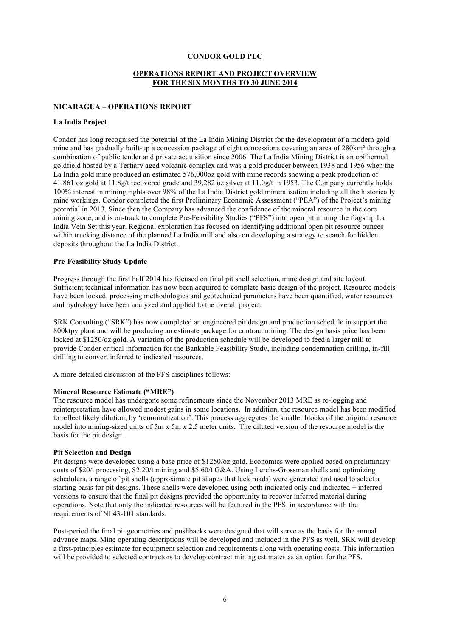## **OPERATIONS REPORT AND PROJECT OVERVIEW FOR THE SIX MONTHS TO 30 JUNE 2014**

#### **NICARAGUA – OPERATIONS REPORT**

#### **La India Project**

Condor has long recognised the potential of the La India Mining District for the development of a modern gold mine and has gradually built-up a concession package of eight concessions covering an area of 280km² through a combination of public tender and private acquisition since 2006. The La India Mining District is an epithermal goldfield hosted by a Tertiary aged volcanic complex and was a gold producer between 1938 and 1956 when the La India gold mine produced an estimated 576,000oz gold with mine records showing a peak production of 41,861 oz gold at 11.8g/t recovered grade and 39,282 oz silver at 11.0g/t in 1953. The Company currently holds 100% interest in mining rights over 98% of the La India District gold mineralisation including all the historically mine workings. Condor completed the first Preliminary Economic Assessment ("PEA") of the Project's mining potential in 2013. Since then the Company has advanced the confidence of the mineral resource in the core mining zone, and is on-track to complete Pre-Feasibility Studies ("PFS") into open pit mining the flagship La India Vein Set this year. Regional exploration has focused on identifying additional open pit resource ounces within trucking distance of the planned La India mill and also on developing a strategy to search for hidden deposits throughout the La India District.

#### **Pre-Feasibility Study Update**

Progress through the first half 2014 has focused on final pit shell selection, mine design and site layout. Sufficient technical information has now been acquired to complete basic design of the project. Resource models have been locked, processing methodologies and geotechnical parameters have been quantified, water resources and hydrology have been analyzed and applied to the overall project.

SRK Consulting ("SRK") has now completed an engineered pit design and production schedule in support the 800ktpy plant and will be producing an estimate package for contract mining. The design basis price has been locked at \$1250/oz gold. A variation of the production schedule will be developed to feed a larger mill to provide Condor critical information for the Bankable Feasibility Study, including condemnation drilling, in-fill drilling to convert inferred to indicated resources.

A more detailed discussion of the PFS disciplines follows:

#### **Mineral Resource Estimate ("MRE")**

The resource model has undergone some refinements since the November 2013 MRE as re-logging and reinterpretation have allowed modest gains in some locations. In addition, the resource model has been modified to reflect likely dilution, by 'renormalization'. This process aggregates the smaller blocks of the original resource model into mining-sized units of 5m x 5m x 2.5 meter units. The diluted version of the resource model is the basis for the pit design.

#### **Pit Selection and Design**

Pit designs were developed using a base price of \$1250/oz gold. Economics were applied based on preliminary costs of \$20/t processing, \$2.20/t mining and \$5.60/t G&A. Using Lerchs-Grossman shells and optimizing schedulers, a range of pit shells (approximate pit shapes that lack roads) were generated and used to select a starting basis for pit designs. These shells were developed using both indicated only and indicated + inferred versions to ensure that the final pit designs provided the opportunity to recover inferred material during operations. Note that only the indicated resources will be featured in the PFS, in accordance with the requirements of NI 43-101 standards.

Post-period the final pit geometries and pushbacks were designed that will serve as the basis for the annual advance maps. Mine operating descriptions will be developed and included in the PFS as well. SRK will develop a first-principles estimate for equipment selection and requirements along with operating costs. This information will be provided to selected contractors to develop contract mining estimates as an option for the PFS.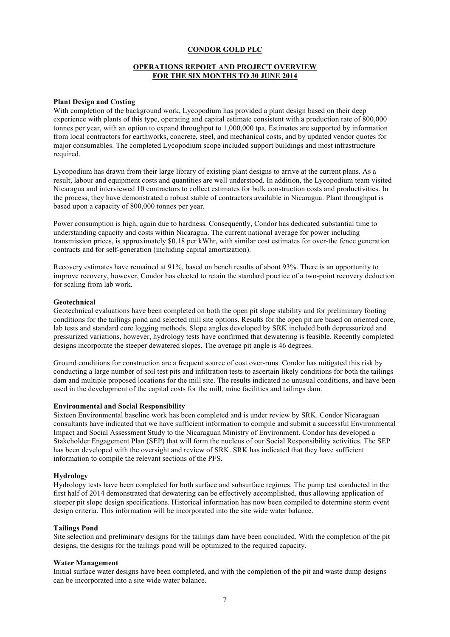## **OPERATIONS REPORT AND PROJECT OVERVIEW FOR THE SIX MONTHS TO 30 JUNE 2014**

#### **Plant Design and Costing**

With completion of the background work. Lycopodium has provided a plant design based on their deep experience with plants of this type, operating and capital estimate consistent with a production rate of 800,000 tonnes per year, with an option to expand throughput to 1,000,000 tpa. Estimates are supported by information from local contractors for earthworks, concrete, steel, and mechanical costs, and by updated vendor quotes for major consumables. The completed Lycopodium scope included support buildings and most infrastructure required.

Lycopodium has drawn from their large library of existing plant designs to arrive at the current plans. As a result, labour and equipment costs and quantities are well understood. In addition, the Lycopodium team visited Nicaragua and interviewed 10 contractors to collect estimates for bulk construction costs and productivities. In the process, they have demonstrated a robust stable of contractors available in Nicaragua. Plant throughput is based upon a capacity of 800,000 tonnes per year.

Power consumption is high, again due to hardness. Consequently, Condor has dedicated substantial time to understanding capacity and costs within Nicaragua. The current national average for power including transmission prices, is approximately \$0.18 per kWhr, with similar cost estimates for over-the fence generation contracts and for self-generation (including capital amortization).

Recovery estimates have remained at 91%, based on bench results of about 93%. There is an opportunity to improve recovery, however, Condor has elected to retain the standard practice of a two-point recovery deduction for scaling from lab work.

#### **Geotechnical**

Geotechnical evaluations have been completed on both the open pit slope stability and for preliminary footing conditions for the tailings pond and selected mill site options. Results for the open pit are based on oriented core, lab tests and standard core logging methods. Slope angles developed by SRK included both depressurized and pressurized variations, however, hydrology tests have confirmed that dewatering is feasible. Recently completed designs incorporate the steeper dewatered slopes. The average pit angle is 46 degrees.

Ground conditions for construction are a frequent source of cost over-runs. Condor has mitigated this risk by conducting a large number of soil test pits and infiltration tests to ascertain likely conditions for both the tailings dam and multiple proposed locations for the mill site. The results indicated no unusual conditions, and have been used in the development of the capital costs for the mill, mine facilities and tailings dam.

#### **Environmental and Social Responsibility**

Sixteen Environmental baseline work has been completed and is under review by SRK. Condor Nicaraguan consultants have indicated that we have sufficient information to compile and submit a successful Environmental Impact and Social Assessment Study to the Nicaraguan Ministry of Environment. Condor has developed a Stakeholder Engagement Plan (SEP) that will form the nucleus of our Social Responsibility activities. The SEP has been developed with the oversight and review of SRK. SRK has indicated that they have sufficient information to compile the relevant sections of the PFS.

#### **Hydrology**

Hydrology tests have been completed for both surface and subsurface regimes. The pump test conducted in the first half of 2014 demonstrated that dewatering can be effectively accomplished, thus allowing application of steeper pit slope design specifications. Historical information has now been compiled to determine storm event design criteria. This information will be incorporated into the site wide water balance.

#### **Tailings Pond**

Site selection and preliminary designs for the tailings dam have been concluded. With the completion of the pit designs, the designs for the tailings pond will be optimized to the required capacity.

#### **Water Management**

Initial surface water designs have been completed, and with the completion of the pit and waste dump designs can be incorporated into a site wide water balance.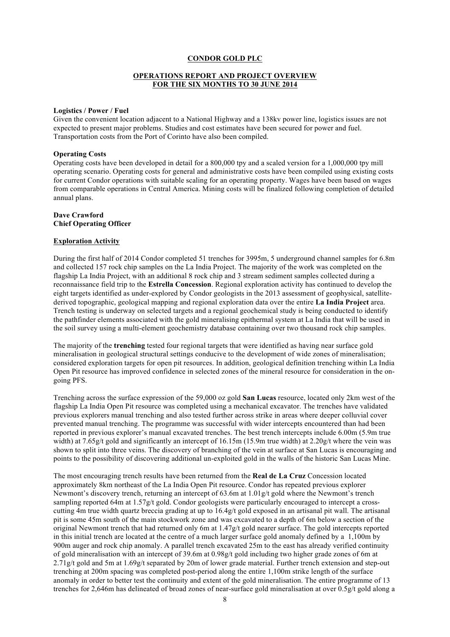#### **OPERATIONS REPORT AND PROJECT OVERVIEW FOR THE SIX MONTHS TO 30 JUNE 2014**

#### **Logistics / Power / Fuel**

Given the convenient location adjacent to a National Highway and a 138kv power line, logistics issues are not expected to present major problems. Studies and cost estimates have been secured for power and fuel. Transportation costs from the Port of Corinto have also been compiled.

#### **Operating Costs**

Operating costs have been developed in detail for a 800,000 tpy and a scaled version for a 1,000,000 tpy mill operating scenario. Operating costs for general and administrative costs have been compiled using existing costs for current Condor operations with suitable scaling for an operating property. Wages have been based on wages from comparable operations in Central America. Mining costs will be finalized following completion of detailed annual plans.

#### **Dave Crawford Chief Operating Officer**

#### **Exploration Activity**

During the first half of 2014 Condor completed 51 trenches for 3995m, 5 underground channel samples for 6.8m and collected 157 rock chip samples on the La India Project. The majority of the work was completed on the flagship La India Project, with an additional 8 rock chip and 3 stream sediment samples collected during a reconnaissance field trip to the **Estrella Concession**. Regional exploration activity has continued to develop the eight targets identified as under-explored by Condor geologists in the 2013 assessment of geophysical, satellitederived topographic, geological mapping and regional exploration data over the entire **La India Project** area. Trench testing is underway on selected targets and a regional geochemical study is being conducted to identify the pathfinder elements associated with the gold mineralising epithermal system at La India that will be used in the soil survey using a multi-element geochemistry database containing over two thousand rock chip samples.

The majority of the **trenching** tested four regional targets that were identified as having near surface gold mineralisation in geological structural settings conducive to the development of wide zones of mineralisation; considered exploration targets for open pit resources. In addition, geological definition trenching within La India Open Pit resource has improved confidence in selected zones of the mineral resource for consideration in the ongoing PFS.

Trenching across the surface expression of the 59,000 oz gold **San Lucas** resource, located only 2km west of the flagship La India Open Pit resource was completed using a mechanical excavator. The trenches have validated previous explorers manual trenching and also tested further across strike in areas where deeper colluvial cover prevented manual trenching. The programme was successful with wider intercepts encountered than had been reported in previous explorer's manual excavated trenches. The best trench intercepts include 6.00m (5.9m true width) at 7.65g/t gold and significantly an intercept of 16.15m (15.9m true width) at 2.20g/t where the vein was shown to split into three veins. The discovery of branching of the vein at surface at San Lucas is encouraging and points to the possibility of discovering additional un-exploited gold in the walls of the historic San Lucas Mine.

The most encouraging trench results have been returned from the **Real de La Cruz** Concession located approximately 8km northeast of the La India Open Pit resource. Condor has repeated previous explorer Newmont's discovery trench, returning an intercept of 63.6m at 1.01g/t gold where the Newmont's trench sampling reported 64m at 1.57g/t gold. Condor geologists were particularly encouraged to intercept a crosscutting 4m true width quartz breccia grading at up to 16.4g/t gold exposed in an artisanal pit wall. The artisanal pit is some 45m south of the main stockwork zone and was excavated to a depth of 6m below a section of the original Newmont trench that had returned only 6m at 1.47g/t gold nearer surface. The gold intercepts reported in this initial trench are located at the centre of a much larger surface gold anomaly defined by a 1,100m by 900m auger and rock chip anomaly. A parallel trench excavated 25m to the east has already verified continuity of gold mineralisation with an intercept of 39.6m at 0.98g/t gold including two higher grade zones of 6m at 2.71g/t gold and 5m at 1.69g/t separated by 20m of lower grade material. Further trench extension and step-out trenching at 200m spacing was completed post-period along the entire 1,100m strike length of the surface anomaly in order to better test the continuity and extent of the gold mineralisation. The entire programme of 13 trenches for 2,646m has delineated of broad zones of near-surface gold mineralisation at over 0.5g/t gold along a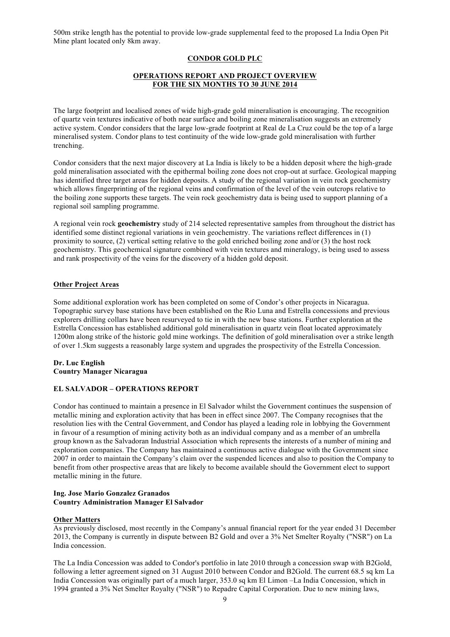500m strike length has the potential to provide low-grade supplemental feed to the proposed La India Open Pit Mine plant located only 8km away.

## **CONDOR GOLD PLC**

## **OPERATIONS REPORT AND PROJECT OVERVIEW FOR THE SIX MONTHS TO 30 JUNE 2014**

The large footprint and localised zones of wide high-grade gold mineralisation is encouraging. The recognition of quartz vein textures indicative of both near surface and boiling zone mineralisation suggests an extremely active system. Condor considers that the large low-grade footprint at Real de La Cruz could be the top of a large mineralised system. Condor plans to test continuity of the wide low-grade gold mineralisation with further trenching.

Condor considers that the next major discovery at La India is likely to be a hidden deposit where the high-grade gold mineralisation associated with the epithermal boiling zone does not crop-out at surface. Geological mapping has identified three target areas for hidden deposits. A study of the regional variation in vein rock geochemistry which allows fingerprinting of the regional veins and confirmation of the level of the vein outcrops relative to the boiling zone supports these targets. The vein rock geochemistry data is being used to support planning of a regional soil sampling programme.

A regional vein rock **geochemistry** study of 214 selected representative samples from throughout the district has identified some distinct regional variations in vein geochemistry. The variations reflect differences in (1) proximity to source, (2) vertical setting relative to the gold enriched boiling zone and/or (3) the host rock geochemistry. This geochemical signature combined with vein textures and mineralogy, is being used to assess and rank prospectivity of the veins for the discovery of a hidden gold deposit.

## **Other Project Areas**

Some additional exploration work has been completed on some of Condor's other projects in Nicaragua. Topographic survey base stations have been established on the Rio Luna and Estrella concessions and previous explorers drilling collars have been resurveyed to tie in with the new base stations. Further exploration at the Estrella Concession has established additional gold mineralisation in quartz vein float located approximately 1200m along strike of the historic gold mine workings. The definition of gold mineralisation over a strike length of over 1.5km suggests a reasonably large system and upgrades the prospectivity of the Estrella Concession.

## **Dr. Luc English Country Manager Nicaragua**

## **EL SALVADOR – OPERATIONS REPORT**

Condor has continued to maintain a presence in El Salvador whilst the Government continues the suspension of metallic mining and exploration activity that has been in effect since 2007. The Company recognises that the resolution lies with the Central Government, and Condor has played a leading role in lobbying the Government in favour of a resumption of mining activity both as an individual company and as a member of an umbrella group known as the Salvadoran Industrial Association which represents the interests of a number of mining and exploration companies. The Company has maintained a continuous active dialogue with the Government since 2007 in order to maintain the Company's claim over the suspended licences and also to position the Company to benefit from other prospective areas that are likely to become available should the Government elect to support metallic mining in the future.

#### **Ing. Jose Mario Gonzalez Granados Country Administration Manager El Salvador**

## **Other Matters**

As previously disclosed, most recently in the Company's annual financial report for the year ended 31 December 2013, the Company is currently in dispute between B2 Gold and over a 3% Net Smelter Royalty ("NSR") on La India concession.

The La India Concession was added to Condor's portfolio in late 2010 through a concession swap with B2Gold, following a letter agreement signed on 31 August 2010 between Condor and B2Gold. The current 68.5 sq km La India Concession was originally part of a much larger, 353.0 sq km El Limon –La India Concession, which in 1994 granted a 3% Net Smelter Royalty ("NSR") to Repadre Capital Corporation. Due to new mining laws,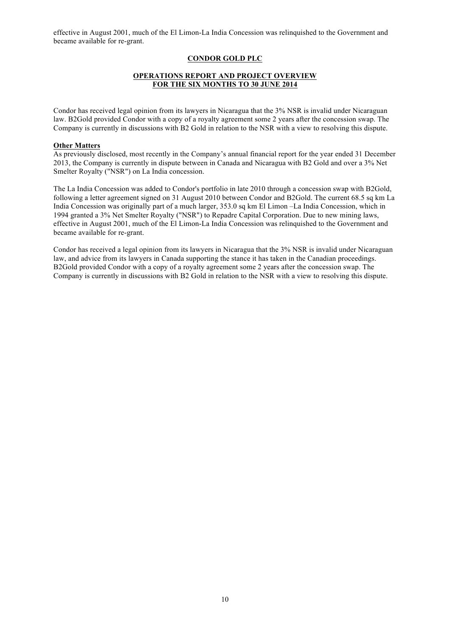effective in August 2001, much of the El Limon-La India Concession was relinquished to the Government and became available for re-grant.

## **CONDOR GOLD PLC**

## **OPERATIONS REPORT AND PROJECT OVERVIEW FOR THE SIX MONTHS TO 30 JUNE 2014**

Condor has received legal opinion from its lawyers in Nicaragua that the 3% NSR is invalid under Nicaraguan law. B2Gold provided Condor with a copy of a royalty agreement some 2 years after the concession swap. The Company is currently in discussions with B2 Gold in relation to the NSR with a view to resolving this dispute.

#### **Other Matters**

As previously disclosed, most recently in the Company's annual financial report for the year ended 31 December 2013, the Company is currently in dispute between in Canada and Nicaragua with B2 Gold and over a 3% Net Smelter Royalty ("NSR") on La India concession.

The La India Concession was added to Condor's portfolio in late 2010 through a concession swap with B2Gold, following a letter agreement signed on 31 August 2010 between Condor and B2Gold. The current 68.5 sq km La India Concession was originally part of a much larger, 353.0 sq km El Limon –La India Concession, which in 1994 granted a 3% Net Smelter Royalty ("NSR") to Repadre Capital Corporation. Due to new mining laws, effective in August 2001, much of the El Limon-La India Concession was relinquished to the Government and became available for re-grant.

Condor has received a legal opinion from its lawyers in Nicaragua that the 3% NSR is invalid under Nicaraguan law, and advice from its lawyers in Canada supporting the stance it has taken in the Canadian proceedings. B2Gold provided Condor with a copy of a royalty agreement some 2 years after the concession swap. The Company is currently in discussions with B2 Gold in relation to the NSR with a view to resolving this dispute.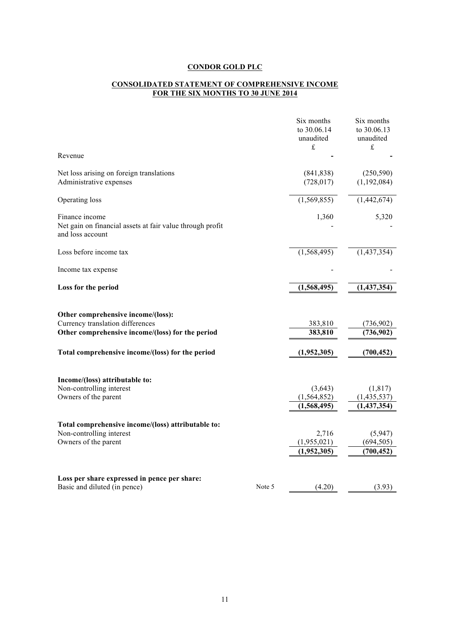#### **CONSOLIDATED STATEMENT OF COMPREHENSIVE INCOME FOR THE SIX MONTHS TO 30 JUNE 2014**

| Revenue                                                                                         |        | Six months<br>to 30.06.14<br>unaudited<br>$\pounds$ | Six months<br>to 30.06.13<br>unaudited<br>$\pounds$ |
|-------------------------------------------------------------------------------------------------|--------|-----------------------------------------------------|-----------------------------------------------------|
|                                                                                                 |        |                                                     |                                                     |
| Net loss arising on foreign translations<br>Administrative expenses                             |        | (841, 838)<br>(728, 017)                            | (250, 590)<br>(1, 192, 084)                         |
| Operating loss                                                                                  |        | (1,569,855)                                         | (1,442,674)                                         |
| Finance income<br>Net gain on financial assets at fair value through profit<br>and loss account |        | 1,360                                               | 5,320                                               |
| Loss before income tax                                                                          |        | (1, 568, 495)                                       | (1,437,354)                                         |
| Income tax expense                                                                              |        |                                                     |                                                     |
| Loss for the period                                                                             |        | (1,568,495)                                         | (1,437,354)                                         |
| Other comprehensive income/(loss):                                                              |        |                                                     |                                                     |
| Currency translation differences                                                                |        | 383,810                                             | (736,902)                                           |
| Other comprehensive income/(loss) for the period                                                |        | 383,810                                             | (736,902)                                           |
| Total comprehensive income/(loss) for the period                                                |        | (1,952,305)                                         | (700, 452)                                          |
| Income/(loss) attributable to:                                                                  |        |                                                     |                                                     |
| Non-controlling interest                                                                        |        | (3,643)                                             | (1, 817)                                            |
| Owners of the parent                                                                            |        | (1, 564, 852)                                       | (1,435,537)                                         |
|                                                                                                 |        | (1,568,495)                                         | (1,437,354)                                         |
| Total comprehensive income/(loss) attributable to:                                              |        |                                                     |                                                     |
| Non-controlling interest                                                                        |        | 2,716                                               | (5,947)                                             |
| Owners of the parent                                                                            |        | (1,955,021)                                         | (694, 505)                                          |
|                                                                                                 |        | (1,952,305)                                         | (700, 452)                                          |
| Loss per share expressed in pence per share:                                                    |        |                                                     |                                                     |
| Basic and diluted (in pence)                                                                    | Note 5 | (4.20)                                              | (3.93)                                              |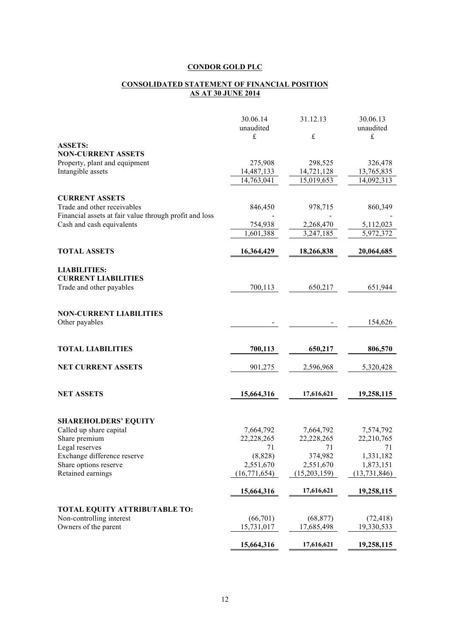#### **CONSOLIDATED STATEMENT OF FINANCIAL POSITION AS AT 30 JUNE 2014**

|                                                        | 30.06.14             | 31.12.13                  | 30.06.13               |
|--------------------------------------------------------|----------------------|---------------------------|------------------------|
|                                                        | unaudited            |                           | unaudited              |
| <b>ASSETS:</b>                                         | £                    | £                         | $\pounds$              |
| <b>NON-CURRENT ASSETS</b>                              |                      |                           |                        |
| Property, plant and equipment                          | 275,908              | 298,525                   | 326,478                |
| Intangible assets                                      | 14,487,133           | 14,721,128                | 13,765,835             |
|                                                        | 14,763,041           | 15,019,653                | 14,092,313             |
|                                                        |                      |                           |                        |
| <b>CURRENT ASSETS</b>                                  |                      |                           |                        |
| Trade and other receivables                            | 846,450              | 978,715                   | 860,349                |
| Financial assets at fair value through profit and loss |                      |                           |                        |
| Cash and cash equivalents                              | 754,938              | 2,268,470                 | 5,112,023              |
|                                                        | 1,601,388            | 3,247,185                 | 5,972,372              |
| <b>TOTAL ASSETS</b>                                    | 16,364,429           | 18,266,838                | 20,064,685             |
|                                                        |                      |                           |                        |
| <b>LIABILITIES:</b>                                    |                      |                           |                        |
| <b>CURRENT LIABILITIES</b>                             |                      |                           |                        |
| Trade and other payables                               | 700,113              | 650,217                   | 651,944                |
|                                                        |                      |                           |                        |
| <b>NON-CURRENT LIABILITIES</b>                         |                      |                           |                        |
| Other payables                                         |                      |                           | 154,626                |
|                                                        |                      |                           |                        |
|                                                        |                      |                           |                        |
| <b>TOTAL LIABILITIES</b>                               | 700,113              | 650,217                   | 806,570                |
|                                                        |                      |                           |                        |
| <b>NET CURRENT ASSETS</b>                              | 901,275              | 2,596,968                 | 5,320,428              |
|                                                        |                      |                           |                        |
| <b>NET ASSETS</b>                                      | 15,664,316           | 17,616,621                | 19,258,115             |
|                                                        |                      |                           |                        |
|                                                        |                      |                           |                        |
| <b>SHAREHOLDERS' EQUITY</b>                            |                      |                           |                        |
| Called up share capital                                | 7,664,792            | 7,664,792                 | 7,574,792              |
| Share premium                                          | 22,228,265           | 22,228,265                | 22,210,765             |
| Legal reserves                                         | 71                   | 71                        | 71                     |
| Exchange difference reserve                            | (8,828)<br>2,551,670 | 374,982                   | 1,331,182<br>1,873,151 |
| Share options reserve<br>Retained earnings             |                      | 2,551,670<br>(15,203,159) | (13, 731, 846)         |
|                                                        | (16, 771, 654)       |                           |                        |
|                                                        | 15,664,316           | 17,616,621                | 19,258,115             |
|                                                        |                      |                           |                        |
| <b>TOTAL EQUITY ATTRIBUTABLE TO:</b>                   |                      |                           |                        |
| Non-controlling interest                               | (66,701)             | (68, 877)                 | (72, 418)              |
| Owners of the parent                                   | 15,731,017           | 17,685,498                | 19,330,533             |
|                                                        | 15,664,316           | 17,616,621                | 19,258,115             |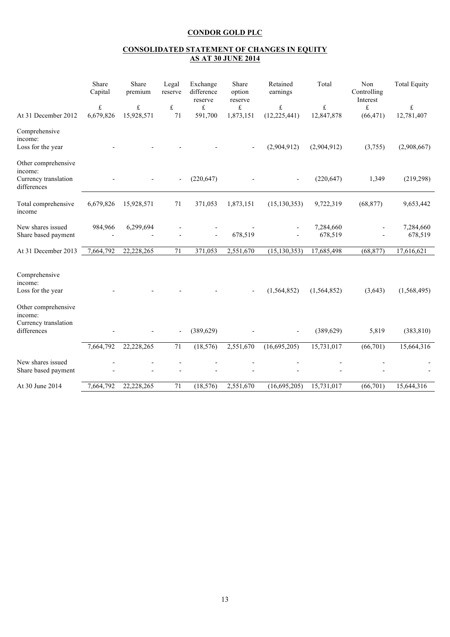#### **CONSOLIDATED STATEMENT OF CHANGES IN EQUITY AS AT 30 JUNE 2014**

| At 31 December 2012                                                   | Share<br>Capital<br>£<br>6,679,826 | Share<br>premium<br>£<br>15,928,571 | Legal<br>reserve<br>£<br>71 | Exchange<br>difference<br>reserve<br>£<br>591,700 | Share<br>option<br>reserve<br>£<br>1,873,151 | Retained<br>earnings<br>£<br>(12, 225, 441) | Total<br>£<br>12,847,878 | Non<br>Controlling<br>Interest<br>£<br>(66, 471) | <b>Total Equity</b><br>£<br>12,781,407 |
|-----------------------------------------------------------------------|------------------------------------|-------------------------------------|-----------------------------|---------------------------------------------------|----------------------------------------------|---------------------------------------------|--------------------------|--------------------------------------------------|----------------------------------------|
| Comprehensive<br>income:<br>Loss for the year                         |                                    |                                     |                             |                                                   |                                              | (2,904,912)                                 | (2,904,912)              | (3,755)                                          | (2,908,667)                            |
| Other comprehensive<br>income:<br>Currency translation<br>differences |                                    |                                     |                             | (220, 647)                                        |                                              |                                             | (220, 647)               | 1,349                                            | (219, 298)                             |
| Total comprehensive<br>income                                         | 6,679,826                          | 15,928,571                          | 71                          | 371,053                                           | 1,873,151                                    | (15, 130, 353)                              | 9,722,319                | (68, 877)                                        | 9,653,442                              |
| New shares issued<br>Share based payment                              | 984,966                            | 6,299,694                           |                             |                                                   | 678,519                                      |                                             | 7,284,660<br>678,519     |                                                  | 7,284,660<br>678,519                   |
| At 31 December 2013                                                   | 7,664,792                          | 22,228,265                          | 71                          | 371,053                                           | 2,551,670                                    | (15, 130, 353)                              | 17,685,498               | (68, 877)                                        | 17,616,621                             |
| Comprehensive<br>income:<br>Loss for the year<br>Other comprehensive  |                                    |                                     |                             |                                                   |                                              | (1, 564, 852)                               | (1, 564, 852)            | (3,643)                                          | (1,568,495)                            |
| income:<br>Currency translation<br>differences                        |                                    |                                     | ÷,                          | (389, 629)                                        |                                              | $\overline{a}$                              | (389, 629)               | 5,819                                            | (383, 810)                             |
|                                                                       | 7,664,792                          | 22,228,265                          | $\overline{71}$             | (18, 576)                                         | 2,551,670                                    | (16,695,205)                                | 15,731,017               | (66, 701)                                        | 15,664,316                             |
| New shares issued<br>Share based payment                              |                                    |                                     |                             |                                                   |                                              |                                             |                          |                                                  |                                        |
| At 30 June 2014                                                       | 7,664,792                          | 22,228,265                          | 71                          | (18, 576)                                         | 2,551,670                                    | (16,695,205)                                | 15,731,017               | (66,701)                                         | 15,644,316                             |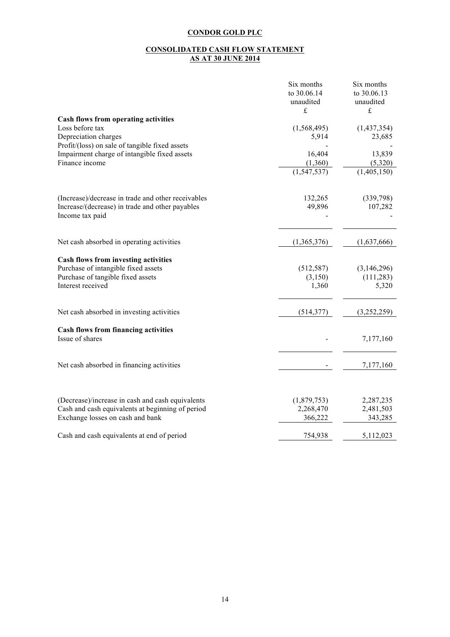#### **CONSOLIDATED CASH FLOW STATEMENT AS AT 30 JUNE 2014**

|                                                                    | Six months<br>to 30.06.14<br>unaudited<br>£ | Six months<br>to 30.06.13<br>unaudited<br>£ |
|--------------------------------------------------------------------|---------------------------------------------|---------------------------------------------|
| Cash flows from operating activities                               |                                             |                                             |
| Loss before tax<br>Depreciation charges                            | (1, 568, 495)<br>5,914                      | (1,437,354)<br>23,685                       |
| Profit/(loss) on sale of tangible fixed assets                     |                                             |                                             |
| Impairment charge of intangible fixed assets                       | 16,404                                      | 13,839                                      |
| Finance income                                                     | (1,360)                                     | (5,320)                                     |
|                                                                    | (1, 547, 537)                               | (1,405,150)                                 |
| (Increase)/decrease in trade and other receivables                 | 132,265                                     | (339,798)                                   |
| Increase/(decrease) in trade and other payables<br>Income tax paid | 49,896                                      | 107,282                                     |
| Net cash absorbed in operating activities                          | (1,365,376)                                 | (1,637,666)                                 |
|                                                                    |                                             |                                             |
| Cash flows from investing activities                               |                                             |                                             |
| Purchase of intangible fixed assets                                | (512, 587)                                  | (3,146,296)                                 |
| Purchase of tangible fixed assets<br>Interest received             | (3,150)<br>1,360                            | (111, 283)<br>5,320                         |
|                                                                    |                                             |                                             |
| Net cash absorbed in investing activities                          | (514, 377)                                  | (3,252,259)                                 |
| Cash flows from financing activities                               |                                             |                                             |
| Issue of shares                                                    |                                             | 7,177,160                                   |
| Net cash absorbed in financing activities                          |                                             | 7,177,160                                   |
|                                                                    |                                             |                                             |
| (Decrease)/increase in cash and cash equivalents                   | (1,879,753)                                 | 2,287,235                                   |
| Cash and cash equivalents at beginning of period                   | 2,268,470                                   | 2,481,503                                   |
| Exchange losses on cash and bank                                   | 366,222                                     | 343,285                                     |
| Cash and cash equivalents at end of period                         | 754,938                                     | 5,112,023                                   |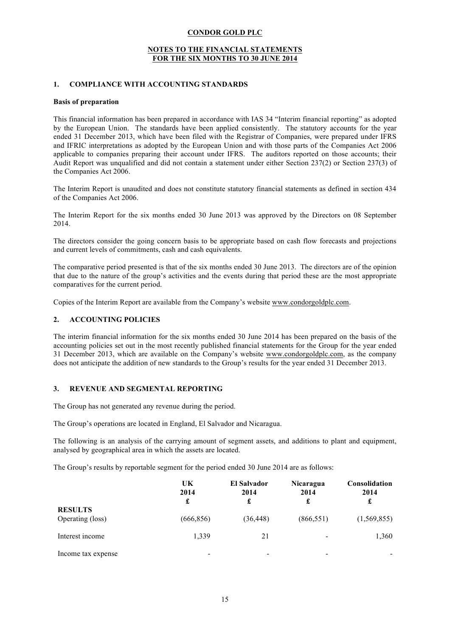#### **NOTES TO THE FINANCIAL STATEMENTS FOR THE SIX MONTHS TO 30 JUNE 2014**

## **1. COMPLIANCE WITH ACCOUNTING STANDARDS**

#### **Basis of preparation**

This financial information has been prepared in accordance with IAS 34 "Interim financial reporting" as adopted by the European Union. The standards have been applied consistently. The statutory accounts for the year ended 31 December 2013, which have been filed with the Registrar of Companies, were prepared under IFRS and IFRIC interpretations as adopted by the European Union and with those parts of the Companies Act 2006 applicable to companies preparing their account under IFRS. The auditors reported on those accounts; their Audit Report was unqualified and did not contain a statement under either Section 237(2) or Section 237(3) of the Companies Act 2006.

The Interim Report is unaudited and does not constitute statutory financial statements as defined in section 434 of the Companies Act 2006.

The Interim Report for the six months ended 30 June 2013 was approved by the Directors on 08 September 2014.

The directors consider the going concern basis to be appropriate based on cash flow forecasts and projections and current levels of commitments, cash and cash equivalents.

The comparative period presented is that of the six months ended 30 June 2013. The directors are of the opinion that due to the nature of the group's activities and the events during that period these are the most appropriate comparatives for the current period.

Copies of the Interim Report are available from the Company's website www.condorgoldplc.com.

## **2. ACCOUNTING POLICIES**

The interim financial information for the six months ended 30 June 2014 has been prepared on the basis of the accounting policies set out in the most recently published financial statements for the Group for the year ended 31 December 2013, which are available on the Company's website www.condorgoldplc.com, as the company does not anticipate the addition of new standards to the Group's results for the year ended 31 December 2013.

#### **3. REVENUE AND SEGMENTAL REPORTING**

The Group has not generated any revenue during the period.

The Group's operations are located in England, El Salvador and Nicaragua.

The following is an analysis of the carrying amount of segment assets, and additions to plant and equipment, analysed by geographical area in which the assets are located.

The Group's results by reportable segment for the period ended 30 June 2014 are as follows:

|                                    | UK<br>2014<br>£ | <b>El Salvador</b><br>2014<br>£ | <b>Nicaragua</b><br>2014<br>£ | <b>Consolidation</b><br>2014<br>£ |
|------------------------------------|-----------------|---------------------------------|-------------------------------|-----------------------------------|
| <b>RESULTS</b><br>Operating (loss) | (666, 856)      | (36, 448)                       | (866, 551)                    | (1,569,855)                       |
| Interest income                    | 1,339           | 21                              |                               | 1,360                             |
| Income tax expense                 |                 |                                 |                               |                                   |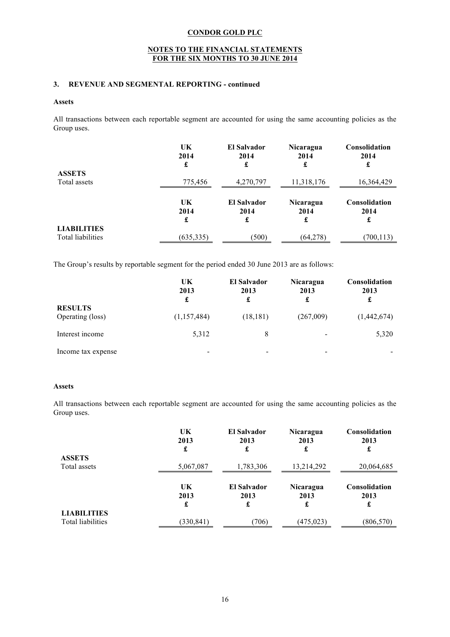## **NOTES TO THE FINANCIAL STATEMENTS FOR THE SIX MONTHS TO 30 JUNE 2014**

## **3. REVENUE AND SEGMENTAL REPORTING - continued**

#### **Assets**

All transactions between each reportable segment are accounted for using the same accounting policies as the Group uses.

| <b>ASSETS</b>                           | UK         | El Salvador        | <b>Nicaragua</b> | <b>Consolidation</b> |
|-----------------------------------------|------------|--------------------|------------------|----------------------|
|                                         | 2014       | 2014               | 2014             | 2014                 |
|                                         | £          | £                  | £                | £                    |
| Total assets                            | 775,456    | 4,270,797          | 11,318,176       | 16,364,429           |
|                                         | UK         | <b>El Salvador</b> | Nicaragua        | Consolidation        |
|                                         | 2014       | 2014               | 2014             | 2014                 |
|                                         | £          | £                  | £                | £                    |
| <b>LIABILITIES</b><br>Total liabilities | (635, 335) | (500)              | (64, 278)        | (700, 113)           |

The Group's results by reportable segment for the period ended 30 June 2013 are as follows:

|                                    | UK<br>2013<br>£ | <b>El Salvador</b><br>2013<br>£ | <b>Nicaragua</b><br>2013<br>£ | <b>Consolidation</b><br>2013<br>£ |
|------------------------------------|-----------------|---------------------------------|-------------------------------|-----------------------------------|
| <b>RESULTS</b><br>Operating (loss) | (1,157,484)     | (18, 181)                       | (267,009)                     | (1,442,674)                       |
| Interest income                    | 5,312           | 8                               | $\overline{\phantom{a}}$      | 5,320                             |
| Income tax expense                 | -               | $\qquad \qquad$                 | $\overline{\phantom{0}}$      |                                   |

#### **Assets**

All transactions between each reportable segment are accounted for using the same accounting policies as the Group uses.

|                                         | UK<br>2013<br>£ | <b>El Salvador</b><br>2013<br>£ | Nicaragua<br>2013<br>£ | Consolidation<br>2013<br>£        |
|-----------------------------------------|-----------------|---------------------------------|------------------------|-----------------------------------|
| <b>ASSETS</b>                           |                 |                                 |                        |                                   |
| Total assets                            | 5,067,087       | 1,783,306                       | 13,214,292             | 20,064,685                        |
|                                         | UK<br>2013<br>£ | <b>El Salvador</b><br>2013<br>£ | Nicaragua<br>2013<br>£ | <b>Consolidation</b><br>2013<br>£ |
| <b>LIABILITIES</b><br>Total liabilities | (330, 841)      | (706)                           | (475, 023)             | (806, 570)                        |